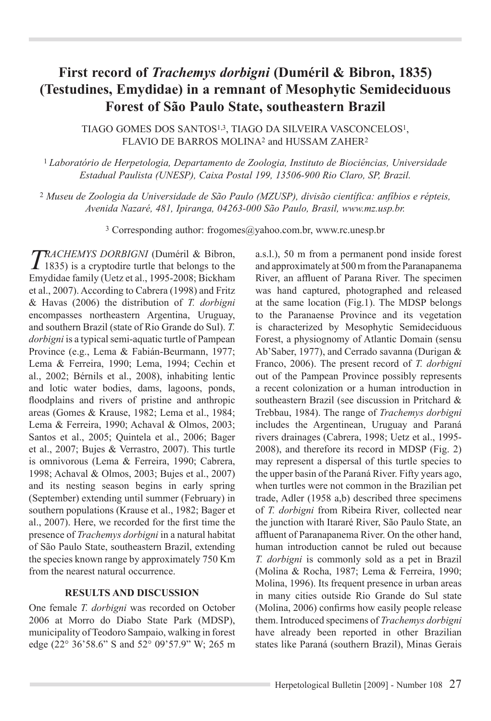## **First record of** *Trachemys dorbigni* **(Duméril & Bibron, 1835) (Testudines, Emydidae) in a remnant of Mesophytic Semideciduous Forest of São Paulo State, southeastern Brazil**

Tiago Gomes dos Santos1,3, Tiago da Silveira Vasconcelos1, FLAVIO DE BARROS MOLINA<sup>2</sup> and HUSSAM ZAHER<sup>2</sup>

<sup>1</sup>*Laboratório de Herpetologia, Departamento de Zoologia, Instituto de Biociências, Universidade Estadual Paulista (UNESP), Caixa Postal 199, 13506-900 Rio Claro, SP, Brazil.*

2 *Museu de Zoologia da Universidade de São Paulo (MZUSP), divisão científica: anfíbios e répteis, Avenida Nazaré, 481, Ipiranga, 04263-000 São Paulo, Brasil, www.mz.usp.br.*

<sup>3</sup> Corresponding author: frogomes@yahoo.com.br, www.rc.unesp.br

*TRACHEMYS DORBIGNI* (Duméril & Bibron, 1835) is a cryptodire turtle that belongs to the Emydidae family (Uetz et al., 1995-2008; Bickham et al., 2007). According to Cabrera (1998) and Fritz & Havas (2006) the distribution of *T. dorbigni*  encompasses northeastern Argentina, Uruguay, and southern Brazil (state of Rio Grande do Sul). *T. dorbigni* is a typical semi-aquatic turtle of Pampean Province (e.g., Lema & Fabián-Beurmann, 1977; Lema & Ferreira, 1990; Lema, 1994; Cechin et al., 2002; Bérnils et al., 2008), inhabiting lentic and lotic water bodies, dams, lagoons, ponds, floodplains and rivers of pristine and anthropic areas (Gomes & Krause, 1982; Lema et al., 1984; Lema & Ferreira, 1990; Achaval & Olmos, 2003; Santos et al., 2005; Quintela et al., 2006; Bager et al., 2007; Bujes & Verrastro, 2007). This turtle is omnivorous (Lema & Ferreira, 1990; Cabrera, 1998; Achaval & Olmos, 2003; Bujes et al., 2007) and its nesting season begins in early spring (September) extending until summer (February) in southern populations (Krause et al., 1982; Bager et al., 2007). Here, we recorded for the first time the presence of *Trachemys dorbigni* in a natural habitat of São Paulo State, southeastern Brazil, extending the species known range by approximately 750 Km from the nearest natural occurrence.

## **Results and Discussion**

One female *T. dorbigni* was recorded on October 2006 at Morro do Diabo State Park (MDSP), municipality of Teodoro Sampaio, walking in forest edge (22° 36'58.6" S and 52° 09'57.9" W; 265 m

a.s.l.), 50 m from a permanent pond inside forest and approximately at 500 m from the Paranapanema River, an affluent of Parana River. The specimen was hand captured, photographed and released at the same location (Fig.1). The MDSP belongs to the Paranaense Province and its vegetation is characterized by Mesophytic Semideciduous Forest, a physiognomy of Atlantic Domain (sensu Ab'Saber, 1977), and Cerrado savanna (Durigan & Franco, 2006). The present record of *T. dorbigni* out of the Pampean Province possibly represents a recent colonization or a human introduction in southeastern Brazil (see discussion in Pritchard & Trebbau, 1984). The range of *Trachemys dorbigni* includes the Argentinean, Uruguay and Paraná rivers drainages (Cabrera, 1998; Uetz et al., 1995- 2008), and therefore its record in MDSP (Fig. 2) may represent a dispersal of this turtle species to the upper basin of the Paraná River. Fifty years ago, when turtles were not common in the Brazilian pet trade, Adler (1958 a,b) described three specimens of *T. dorbigni* from Ribeira River, collected near the junction with Itararé River, São Paulo State, an affluent of Paranapanema River. On the other hand, human introduction cannot be ruled out because *T. dorbigni* is commonly sold as a pet in Brazil (Molina & Rocha, 1987; Lema & Ferreira, 1990; Molina, 1996). Its frequent presence in urban areas in many cities outside Rio Grande do Sul state (Molina, 2006) confirms how easily people release them. Introduced specimens of *Trachemys dorbigni* have already been reported in other Brazilian states like Paraná (southern Brazil), Minas Gerais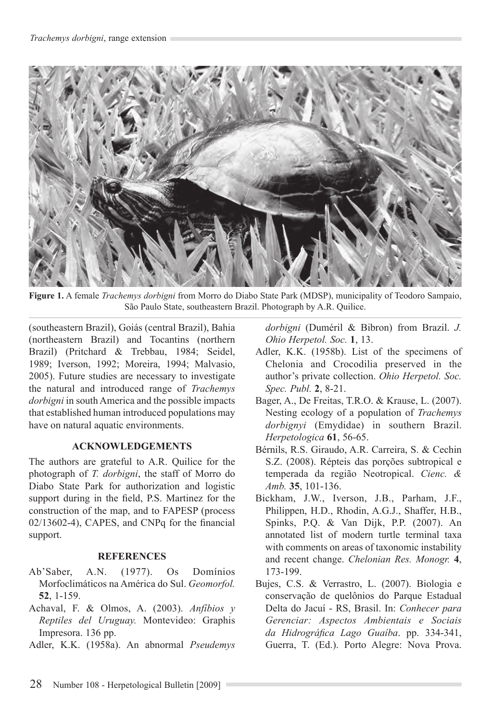

**Figure 1.** A female *Trachemys dorbigni* from Morro do Diabo State Park (MDSP), municipality of Teodoro Sampaio, São Paulo State, southeastern Brazil. Photograph by A.R. Quilice.

(southeastern Brazil), Goiás (central Brazil), Bahia (northeastern Brazil) and Tocantins (northern Brazil) (Pritchard & Trebbau, 1984; Seidel, 1989; Iverson, 1992; Moreira, 1994; Malvasio, 2005). Future studies are necessary to investigate the natural and introduced range of *Trachemys dorbigni* in south America and the possible impacts that established human introduced populations may have on natural aquatic environments.

## **ACKNOWLEDGEMENTS**

The authors are grateful to A.R. Quilice for the photograph of *T. dorbigni*, the staff of Morro do Diabo State Park for authorization and logistic support during in the field, P.S. Martinez for the construction of the map, and to FAPESP (process 02/13602-4), CAPES, and CNPq for the financial support.

## **References**

- Ab'Saber, A.N. (1977). Os Domínios Morfoclimáticos na América do Sul. *Geomorfol.* **52**, 1-159.
- Achaval, F. & Olmos, A. (2003). *Anfíbios y Reptiles del Uruguay.* Montevideo: Graphis Impresora. 136 pp.
- Adler, K.K. (1958a). An abnormal *Pseudemys*

*dorbigni* (Duméril & Bibron) from Brazil. *J. Ohio Herpetol. Soc.* **1**, 13.

- Adler, K.K. (1958b). List of the specimens of Chelonia and Crocodilia preserved in the author's private collection. *Ohio Herpetol. Soc. Spec. Publ.* **2**, 8-21.
- Bager, A., De Freitas, T.R.O. & Krause, L. (2007). Nesting ecology of a population of *Trachemys dorbignyi* (Emydidae) in southern Brazil. *Herpetologica* **61**, 56-65.
- Bérnils, R.S. Giraudo, A.R. Carreira, S. & Cechin S.Z. (2008). Répteis das porções subtropical e temperada da região Neotropical. *Cienc. & Amb.* **35**, 101-136.
- Bickham, J.W., Iverson, J.B., Parham, J.F., Philippen, H.D., Rhodin, A.G.J., Shaffer, H.B., Spinks, P.Q. & Van Dijk, P.P. (2007). An annotated list of modern turtle terminal taxa with comments on areas of taxonomic instability and recent change. *Chelonian Res. Monogr.* **4**, 173-199.
- Bujes, C.S. & Verrastro, L. (2007). Biologia e conservação de quelônios do Parque Estadual Delta do Jacuí - RS, Brasil. In: *Conhecer para Gerenciar: Aspectos Ambientais e Sociais da Hidrográfica Lago Guaíba*. pp. 334-341, Guerra, T. (Ed.). Porto Alegre: Nova Prova.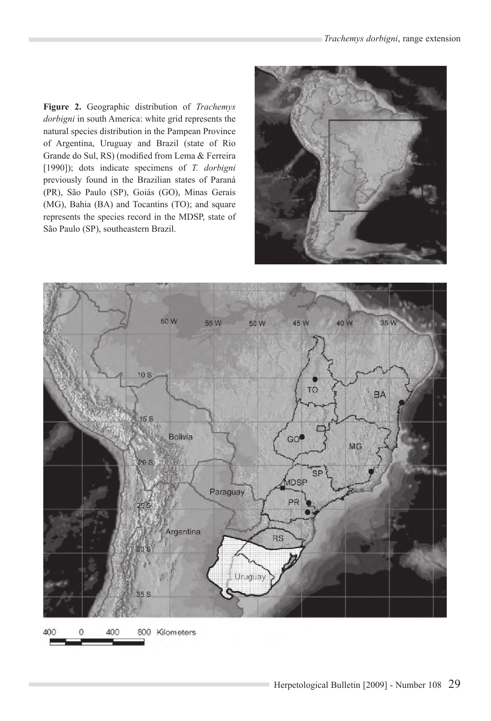**Figure 2.** Geographic distribution of *Trachemys dorbigni* in south America: white grid represents the natural species distribution in the Pampean Province of Argentina, Uruguay and Brazil (state of Rio Grande do Sul, RS) (modified from Lema & Ferreira [1990]); dots indicate specimens of *T. dorbigni* previously found in the Brazilian states of Paraná (PR), São Paulo (SP), Goiás (GO), Minas Gerais (MG), Bahia (BA) and Tocantins (TO); and square represents the species record in the MDSP, state of São Paulo (SP), southeastern Brazil.





400 C 400 800 Kilometers